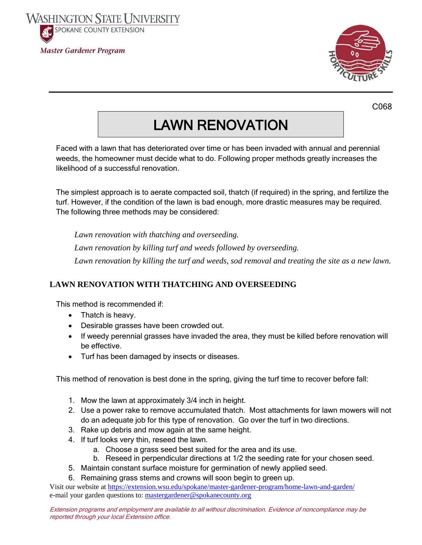



C068

## LAWN RENOVATION

Faced with a lawn that has deteriorated over time or has been invaded with annual and perennial weeds, the homeowner must decide what to do. Following proper methods greatly increases the likelihood of a successful renovation.

The simplest approach is to aerate compacted soil, thatch (if required) in the spring, and fertilize the turf. However, if the condition of the lawn is bad enough, more drastic measures may be required. The following three methods may be considered:

*Lawn renovation with thatching and overseeding. Lawn renovation by killing turf and weeds followed by overseeding. Lawn renovation by killing the turf and weeds, sod removal and treating the site as a new lawn.*

## **LAWN RENOVATION WITH THATCHING AND OVERSEEDING**

This method is recommended if:

- Thatch is heavy.
- Desirable grasses have been crowded out.
- If weedy perennial grasses have invaded the area, they must be killed before renovation will be effective.
- Turf has been damaged by insects or diseases.

This method of renovation is best done in the spring, giving the turf time to recover before fall:

- 1. Mow the lawn at approximately 3/4 inch in height.
- 2. Use a power rake to remove accumulated thatch. Most attachments for lawn mowers will not do an adequate job for this type of renovation. Go over the turf in two directions.
- 3. Rake up debris and mow again at the same height.
- 4. If turf looks very thin, reseed the lawn.
	- a. Choose a grass seed best suited for the area and its use.
	- b. Reseed in perpendicular directions at 1/2 the seeding rate for your chosen seed.
- 5. Maintain constant surface moisture for germination of newly applied seed.
- 6. Remaining grass stems and crowns will soon begin to green up.

Visit our website a[t https://extension.wsu.edu/spokane/master-gardener-program/home-lawn-and-garden/](https://extension.wsu.edu/spokane/master-gardener-program/home-lawn-and-garden/) e-mail your garden questions to: [mastergardener@spokanecounty.org](mailto:mastergardener@spokanecounty.org)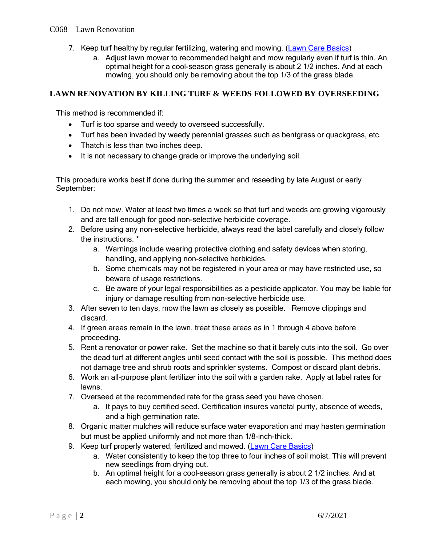- 7. Keep turf healthy by regular fertilizing, watering and mowing. [\(Lawn Care Basics\)](https://s3.wp.wsu.edu/uploads/sites/2076/2018/03/C067-Lawn-Care-Basics-16.pdf)
	- a. Adjust lawn mower to recommended height and mow regularly even if turf is thin. An optimal height for a cool-season grass generally is about 2 1/2 inches. And at each mowing, you should only be removing about the top 1/3 of the grass blade.

## **LAWN RENOVATION BY KILLING TURF & WEEDS FOLLOWED BY OVERSEEDING**

This method is recommended if:

- Turf is too sparse and weedy to overseed successfully.
- Turf has been invaded by weedy perennial grasses such as bentgrass or quackgrass, etc.
- Thatch is less than two inches deep.
- It is not necessary to change grade or improve the underlying soil.

This procedure works best if done during the summer and reseeding by late August or early September:

- 1. Do not mow. Water at least two times a week so that turf and weeds are growing vigorously and are tall enough for good non-selective herbicide coverage.
- 2. Before using any non-selective herbicide, always read the label carefully and closely follow the instructions. \*
	- a. Warnings include wearing protective clothing and safety devices when storing, handling, and applying non-selective herbicides.
	- b. Some chemicals may not be registered in your area or may have restricted use, so beware of usage restrictions.
	- c. Be aware of your legal responsibilities as a pesticide applicator. You may be liable for injury or damage resulting from non-selective herbicide use.
- 3. After seven to ten days, mow the lawn as closely as possible. Remove clippings and discard.
- 4. If green areas remain in the lawn, treat these areas as in 1 through 4 above before proceeding.
- 5. Rent a renovator or power rake. Set the machine so that it barely cuts into the soil. Go over the dead turf at different angles until seed contact with the soil is possible. This method does not damage tree and shrub roots and sprinkler systems. Compost or discard plant debris.
- 6. Work an all-purpose plant fertilizer into the soil with a garden rake. Apply at label rates for lawns.
- 7. Overseed at the recommended rate for the grass seed you have chosen.
	- a. It pays to buy certified seed. Certification insures varietal purity, absence of weeds, and a high germination rate.
- 8. Organic matter mulches will reduce surface water evaporation and may hasten germination but must be applied uniformly and not more than 1/8-inch-thick.
- 9. Keep turf properly watered, fertilized and mowed. [\(Lawn Care Basics\)](https://s3.wp.wsu.edu/uploads/sites/2076/2018/03/C067-Lawn-Care-Basics-16.pdf)
	- a. Water consistently to keep the top three to four inches of soil moist. This will prevent new seedlings from drying out.
	- b. An optimal height for a cool-season grass generally is about 2 1/2 inches. And at each mowing, you should only be removing about the top 1/3 of the grass blade.